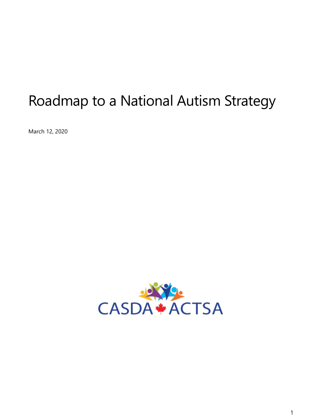# Roadmap to a National Autism Strategy

March 12, 2020

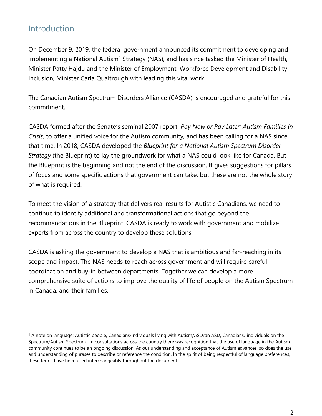# Introduction

On December 9, 2019, the federal government announced its commitment to developing and implementing a National Autism<sup>1</sup> Strategy (NAS), and has since tasked the Minister of Health, Minister Patty Hajdu and the Minister of Employment, Workforce Development and Disability Inclusion, Minister Carla Qualtrough with leading this vital work.

The Canadian Autism Spectrum Disorders Alliance (CASDA) is encouraged and grateful for this commitment.

CASDA formed after the Senate's seminal 2007 report, *Pay Now or Pay Later: Autism Families in Crisis,* to offer a unified voice for the Autism community, and has been calling for a NAS since that time. In 2018, CASDA developed the *Blueprint for a National Autism Spectrum Disorder Strategy* (the Blueprint) to lay the groundwork for what a NAS could look like for Canada. But the Blueprint is the beginning and not the end of the discussion. It gives suggestions for pillars of focus and some specific actions that government can take, but these are not the whole story of what is required.

To meet the vision of a strategy that delivers real results for Autistic Canadians, we need to continue to identify additional and transformational actions that go beyond the recommendations in the Blueprint. CASDA is ready to work with government and mobilize experts from across the country to develop these solutions.

CASDA is asking the government to develop a NAS that is ambitious and far-reaching in its scope and impact. The NAS needs to reach across government and will require careful coordination and buy-in between departments. Together we can develop a more comprehensive suite of actions to improve the quality of life of people on the Autism Spectrum in Canada, and their families.

<sup>1</sup> A note on language: Autistic people, Canadians/individuals living with Autism/ASD/an ASD, Canadians/ individuals on the Spectrum/Autism Spectrum –in consultations across the country there was recognition that the use of language in the Autism community continues to be an ongoing discussion. As our understanding and acceptance of Autism advances, so does the use and understanding of phrases to describe or reference the condition. In the spirit of being respectful of language preferences, these terms have been used interchangeably throughout the document.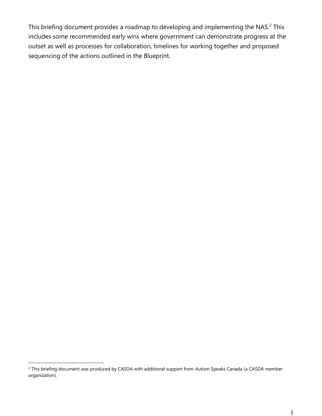This briefing document provides a roadmap to developing and implementing the NAS.<sup>2</sup> This includes some recommended early wins where government can demonstrate progress at the outset as well as processes for collaboration, timelines for working together and proposed sequencing of the actions outlined in the Blueprint.

<sup>&</sup>lt;sup>2</sup> This briefing document was produced by CASDA with additional support from Autism Speaks Canada (a CASDA member organization).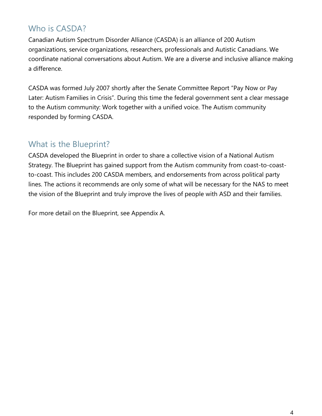# Who is CASDA?

Canadian Autism Spectrum Disorder Alliance (CASDA) is an alliance of 200 Autism organizations, service organizations, researchers, professionals and Autistic Canadians. We coordinate national conversations about Autism. We are a diverse and inclusive alliance making a difference.

CASDA was formed July 2007 shortly after the Senate Committee Report "Pay Now or Pay Later: Autism Families in Crisis". During this time the federal government sent a clear message to the Autism community: Work together with a unified voice. The Autism community responded by forming CASDA.

# What is the Blueprint?

CASDA developed the Blueprint in order to share a collective vision of a National Autism Strategy. The Blueprint has gained support from the Autism community from coast-to-coastto-coast. This includes 200 CASDA members, and endorsements from across political party lines. The actions it recommends are only some of what will be necessary for the NAS to meet the vision of the Blueprint and truly improve the lives of people with ASD and their families.

For more detail on the Blueprint, see Appendix A.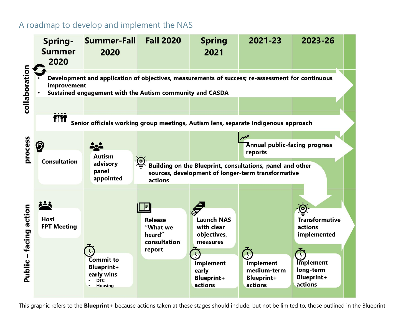# A roadmap to develop and implement the NAS



This graphic refers to the **Blueprint+** because actions taken at these stages should include, but not be limited to, those outlined in the Blueprint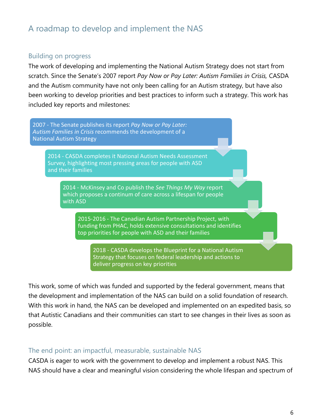# A roadmap to develop and implement the NAS

#### Building on progress

The work of developing and implementing the National Autism Strategy does not start from scratch. Since the Senate's 2007 report *Pay Now or Pay Later: Autism Families in Crisis,* CASDA and the Autism community have not only been calling for an Autism strategy, but have also been working to develop priorities and best practices to inform such a strategy. This work has included key reports and milestones:

2007 - The Senate publishes its report *Pay Now or Pay Later: Autism Families in Crisis* recommends the development of a National Autism Strategy

2014 - CASDA completes it National Autism Needs Assessment Survey, highlighting most pressing areas for people with ASD and their families

2014 - McKinsey and Co publish the *See Things My Way* report which proposes a continum of care across a lifespan for people with ASD

2015-2016 - The Canadian Autism Partnership Project, with funding from PHAC, holds extensive consultations and identifies top priorities for people with ASD and their families

2018 - CASDA develops the Blueprint for a National Autism Strategy that focuses on federal leadership and actions to deliver progress on key priorities

This work, some of which was funded and supported by the federal government, means that the development and implementation of the NAS can build on a solid foundation of research. With this work in hand, the NAS can be developed and implemented on an expedited basis, so that Autistic Canadians and their communities can start to see changes in their lives as soon as possible.

### The end point: an impactful, measurable, sustainable NAS

CASDA is eager to work with the government to develop and implement a robust NAS. This NAS should have a clear and meaningful vision considering the whole lifespan and spectrum of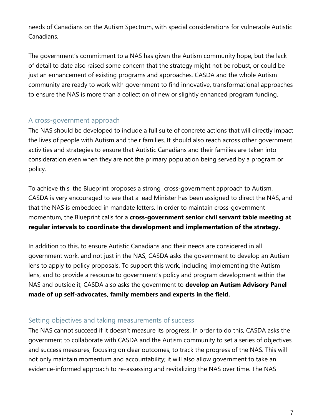needs of Canadians on the Autism Spectrum, with special considerations for vulnerable Autistic Canadians.

The government's commitment to a NAS has given the Autism community hope, but the lack of detail to date also raised some concern that the strategy might not be robust, or could be just an enhancement of existing programs and approaches. CASDA and the whole Autism community are ready to work with government to find innovative, transformational approaches to ensure the NAS is more than a collection of new or slightly enhanced program funding.

### A cross-government approach

The NAS should be developed to include a full suite of concrete actions that will directly impact the lives of people with Autism and their families. It should also reach across other government activities and strategies to ensure that Autistic Canadians and their families are taken into consideration even when they are not the primary population being served by a program or policy.

To achieve this, the Blueprint proposes a strong cross-government approach to Autism. CASDA is very encouraged to see that a lead Minister has been assigned to direct the NAS, and that the NAS is embedded in mandate letters. In order to maintain cross-government momentum, the Blueprint calls for a **cross-government senior civil servant table meeting at regular intervals to coordinate the development and implementation of the strategy.**

In addition to this, to ensure Autistic Canadians and their needs are considered in all government work, and not just in the NAS, CASDA asks the government to develop an Autism lens to apply to policy proposals. To support this work, including implementing the Autism lens, and to provide a resource to government's policy and program development within the NAS and outside it, CASDA also asks the government to **develop an Autism Advisory Panel made of up self-advocates, family members and experts in the field.** 

### Setting objectives and taking measurements of success

The NAS cannot succeed if it doesn't measure its progress. In order to do this, CASDA asks the government to collaborate with CASDA and the Autism community to set a series of objectives and success measures, focusing on clear outcomes, to track the progress of the NAS. This will not only maintain momentum and accountability; it will also allow government to take an evidence-informed approach to re-assessing and revitalizing the NAS over time. The NAS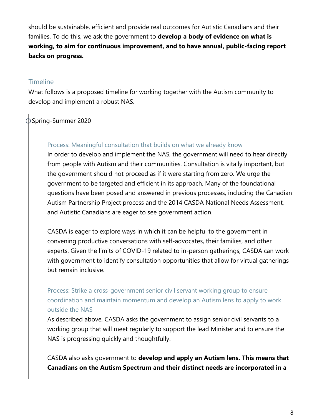should be sustainable, efficient and provide real outcomes for Autistic Canadians and their families. To do this, we ask the government to **develop a body of evidence on what is working, to aim for continuous improvement, and to have annual, public-facing report backs on progress.**

# Timeline

What follows is a proposed timeline for working together with the Autism community to develop and implement a robust NAS.

# Spring-Summer 2020

### Process: Meaningful consultation that builds on what we already know

In order to develop and implement the NAS, the government will need to hear directly from people with Autism and their communities. Consultation is vitally important, but the government should not proceed as if it were starting from zero. We urge the government to be targeted and efficient in its approach. Many of the foundational questions have been posed and answered in previous processes, including the Canadian Autism Partnership Project process and the 2014 CASDA National Needs Assessment, and Autistic Canadians are eager to see government action.

CASDA is eager to explore ways in which it can be helpful to the government in convening productive conversations with self-advocates, their families, and other experts. Given the limits of COVID-19 related to in-person gatherings, CASDA can work with government to identify consultation opportunities that allow for virtual gatherings but remain inclusive.

# Process: Strike a cross-government senior civil servant working group to ensure coordination and maintain momentum and develop an Autism lens to apply to work outside the NAS

As described above, CASDA asks the government to assign senior civil servants to a working group that will meet regularly to support the lead Minister and to ensure the NAS is progressing quickly and thoughtfully.

CASDA also asks government to **develop and apply an Autism lens. This means that Canadians on the Autism Spectrum and their distinct needs are incorporated in a**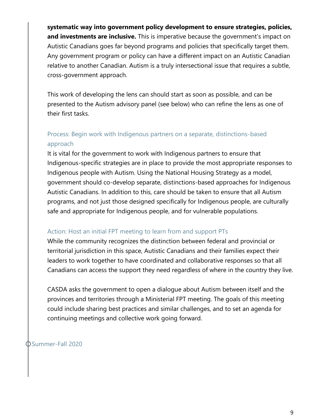**systematic way into government policy development to ensure strategies, policies, and investments are inclusive.** This is imperative because the government's impact on Autistic Canadians goes far beyond programs and policies that specifically target them. Any government program or policy can have a different impact on an Autistic Canadian relative to another Canadian. Autism is a truly intersectional issue that requires a subtle, cross-government approach.

This work of developing the lens can should start as soon as possible, and can be presented to the Autism advisory panel (see below) who can refine the lens as one of their first tasks.

# Process: Begin work with Indigenous partners on a separate, distinctions-based approach

It is vital for the government to work with Indigenous partners to ensure that Indigenous-specific strategies are in place to provide the most appropriate responses to Indigenous people with Autism. Using the National Housing Strategy as a model, government should co-develop separate, distinctions-based approaches for Indigenous Autistic Canadians. In addition to this, care should be taken to ensure that all Autism programs, and not just those designed specifically for Indigenous people, are culturally safe and appropriate for Indigenous people, and for vulnerable populations.

#### Action: Host an initial FPT meeting to learn from and support PTs

While the community recognizes the distinction between federal and provincial or territorial jurisdiction in this space, Autistic Canadians and their families expect their leaders to work together to have coordinated and collaborative responses so that all Canadians can access the support they need regardless of where in the country they live.

CASDA asks the government to open a dialogue about Autism between itself and the provinces and territories through a Ministerial FPT meeting. The goals of this meeting could include sharing best practices and similar challenges, and to set an agenda for continuing meetings and collective work going forward.

Summer-Fall 2020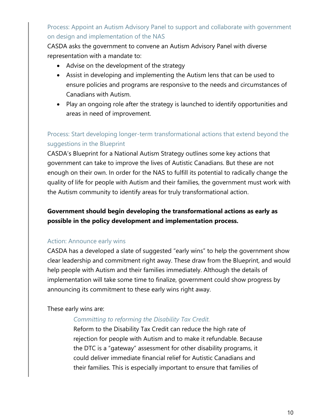Process: Appoint an Autism Advisory Panel to support and collaborate with government on design and implementation of the NAS

CASDA asks the government to convene an Autism Advisory Panel with diverse representation with a mandate to:

- Advise on the development of the strategy
- Assist in developing and implementing the Autism lens that can be used to ensure policies and programs are responsive to the needs and circumstances of Canadians with Autism.
- Play an ongoing role after the strategy is launched to identify opportunities and areas in need of improvement.

# Process: Start developing longer-term transformational actions that extend beyond the suggestions in the Blueprint

CASDA's Blueprint for a National Autism Strategy outlines some key actions that government can take to improve the lives of Autistic Canadians. But these are not enough on their own. In order for the NAS to fulfill its potential to radically change the quality of life for people with Autism and their families, the government must work with the Autism community to identify areas for truly transformational action.

# **Government should begin developing the transformational actions as early as possible in the policy development and implementation process.**

#### Action: Announce early wins

CASDA has a developed a slate of suggested "early wins" to help the government show clear leadership and commitment right away. These draw from the Blueprint, and would help people with Autism and their families immediately. Although the details of implementation will take some time to finalize, government could show progress by announcing its commitment to these early wins right away.

These early wins are:

#### *Committing to reforming the Disability Tax Credit.*

Reform to the Disability Tax Credit can reduce the high rate of rejection for people with Autism and to make it refundable. Because the DTC is a "gateway" assessment for other disability programs, it could deliver immediate financial relief for Autistic Canadians and their families. This is especially important to ensure that families of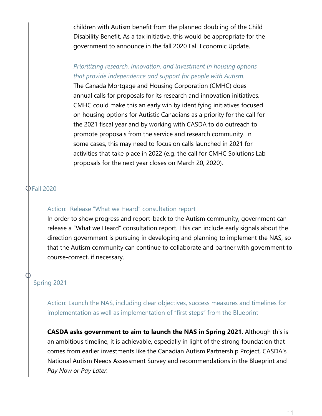children with Autism benefit from the planned doubling of the Child Disability Benefit. As a tax initiative, this would be appropriate for the government to announce in the fall 2020 Fall Economic Update.

### *Prioritizing research, innovation, and investment in housing options that provide independence and support for people with Autism.*

The Canada Mortgage and Housing Corporation (CMHC) does annual calls for proposals for its research and innovation initiatives. CMHC could make this an early win by identifying initiatives focused on housing options for Autistic Canadians as a priority for the call for the 2021 fiscal year and by working with CASDA to do outreach to promote proposals from the service and research community. In some cases, this may need to focus on calls launched in 2021 for activities that take place in 2022 (e.g. the call for CMHC Solutions Lab proposals for the next year closes on March 20, 2020).

#### Fall 2020

#### Action: Release "What we Heard" consultation report

In order to show progress and report-back to the Autism community, government can release a "What we Heard" consultation report. This can include early signals about the direction government is pursuing in developing and planning to implement the NAS, so that the Autism community can continue to collaborate and partner with government to course-correct, if necessary.

# Spring 2021

Action: Launch the NAS, including clear objectives, success measures and timelines for implementation as well as implementation of "first steps" from the Blueprint

**CASDA asks government to aim to launch the NAS in Spring 2021**. Although this is an ambitious timeline, it is achievable, especially in light of the strong foundation that comes from earlier investments like the Canadian Autism Partnership Project, CASDA's National Autism Needs Assessment Survey and recommendations in the Blueprint and *Pay Now or Pay Later.*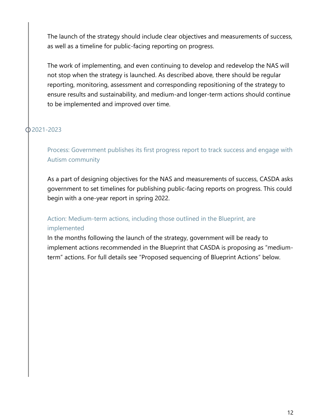The launch of the strategy should include clear objectives and measurements of success, as well as a timeline for public-facing reporting on progress.

The work of implementing, and even continuing to develop and redevelop the NAS will not stop when the strategy is launched. As described above, there should be regular reporting, monitoring, assessment and corresponding repositioning of the strategy to ensure results and sustainability, and medium-and longer-term actions should continue to be implemented and improved over time.

# 2021-2023

I

Process: Government publishes its first progress report to track success and engage with Autism community

As a part of designing objectives for the NAS and measurements of success, CASDA asks government to set timelines for publishing public-facing reports on progress. This could begin with a one-year report in spring 2022.

# Action: Medium-term actions, including those outlined in the Blueprint, are implemented

In the months following the launch of the strategy, government will be ready to implement actions recommended in the Blueprint that CASDA is proposing as "mediumterm" actions. For full details see "Proposed sequencing of Blueprint Actions" below.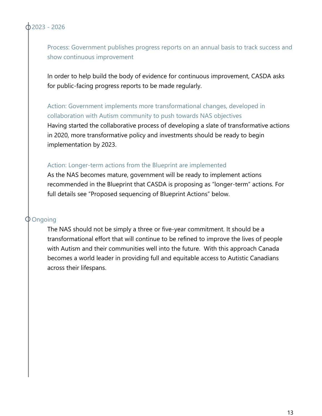Process: Government publishes progress reports on an annual basis to track success and show continuous improvement

In order to help build the body of evidence for continuous improvement, CASDA asks for public-facing progress reports to be made regularly.

Action: Government implements more transformational changes, developed in collaboration with Autism community to push towards NAS objectives Having started the collaborative process of developing a slate of transformative actions in 2020, more transformative policy and investments should be ready to begin implementation by 2023.

#### Action: Longer-term actions from the Blueprint are implemented

As the NAS becomes mature, government will be ready to implement actions recommended in the Blueprint that CASDA is proposing as "longer-term" actions. For full details see "Proposed sequencing of Blueprint Actions" below.

#### Ongoing

The NAS should not be simply a three or five-year commitment. It should be a transformational effort that will continue to be refined to improve the lives of people with Autism and their communities well into the future. With this approach Canada becomes a world leader in providing full and equitable access to Autistic Canadians across their lifespans.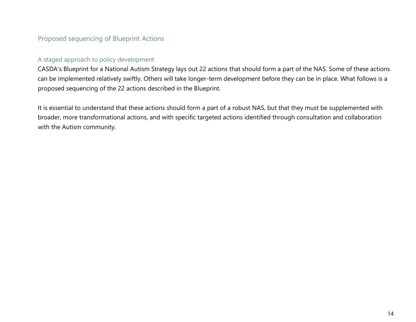# Proposed sequencing of Blueprint Actions

#### A staged approach to policy development

CASDA's Blueprint for a National Autism Strategy lays out 22 actions that should form a part of the NAS. Some of these actions can be implemented relatively swiftly. Others will take longer-term development before they can be in place. What follows is a proposed sequencing of the 22 actions described in the Blueprint.

It is essential to understand that these actions should form a part of a robust NAS, but that they must be supplemented with broader, more transformational actions, and with specific targeted actions identified through consultation and collaboration with the Autism community.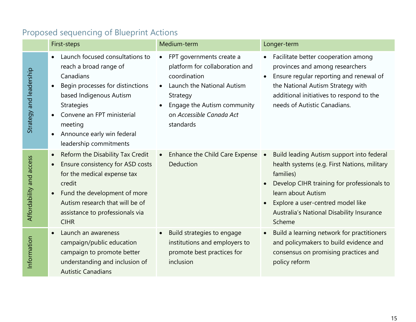|                          | First-steps                                                                                                                                                                                                                                                               | Medium-term                                                                                                                                                                                                            | Longer-term                                                                                                                                                                                                                                                                                                   |
|--------------------------|---------------------------------------------------------------------------------------------------------------------------------------------------------------------------------------------------------------------------------------------------------------------------|------------------------------------------------------------------------------------------------------------------------------------------------------------------------------------------------------------------------|---------------------------------------------------------------------------------------------------------------------------------------------------------------------------------------------------------------------------------------------------------------------------------------------------------------|
| Strategy and leadership  | Launch focused consultations to<br>reach a broad range of<br>Canadians<br>Begin processes for distinctions<br>based Indigenous Autism<br><b>Strategies</b><br>Convene an FPT ministerial<br>meeting<br>Announce early win federal<br>$\bullet$<br>leadership commitments  | FPT governments create a<br>$\bullet$<br>platform for collaboration and<br>coordination<br>Launch the National Autism<br>$\bullet$<br>Strategy<br>Engage the Autism community<br>on Accessible Canada Act<br>standards | Facilitate better cooperation among<br>$\bullet$<br>provinces and among researchers<br>Ensure regular reporting and renewal of<br>$\bullet$<br>the National Autism Strategy with<br>additional initiatives to respond to the<br>needs of Autistic Canadians.                                                  |
| Affordability and access | Reform the Disability Tax Credit<br>$\bullet$<br>Ensure consistency for ASD costs<br>$\bullet$<br>for the medical expense tax<br>credit<br>Fund the development of more<br>$\bullet$<br>Autism research that will be of<br>assistance to professionals via<br><b>CIHR</b> | Enhance the Child Care Expense<br>Deduction                                                                                                                                                                            | Build leading Autism support into federal<br>$\bullet$<br>health systems (e.g. First Nations, military<br>families)<br>Develop CIHR training for professionals to<br>$\bullet$<br>learn about Autism<br>Explore a user-centred model like<br>$\bullet$<br>Australia's National Disability Insurance<br>Scheme |
| Information              | Launch an awareness<br>campaign/public education<br>campaign to promote better<br>understanding and inclusion of<br><b>Autistic Canadians</b>                                                                                                                             | Build strategies to engage<br>$\bullet$<br>institutions and employers to<br>promote best practices for<br>inclusion                                                                                                    | Build a learning network for practitioners<br>$\bullet$<br>and policymakers to build evidence and<br>consensus on promising practices and<br>policy reform                                                                                                                                                    |

# Proposed sequencing of Blueprint Actions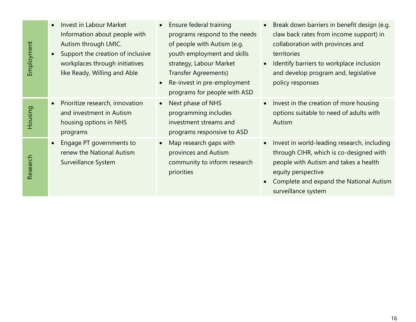| Employment | Invest in Labour Market<br>$\bullet$<br>Information about people with<br>Autism through LMIC.<br>Support the creation of inclusive<br>$\bullet$<br>workplaces through initiatives<br>like Ready, Willing and Able | Ensure federal training<br>programs respond to the needs<br>of people with Autism (e.g.<br>youth employment and skills<br>strategy, Labour Market<br><b>Transfer Agreements)</b><br>Re-invest in pre-employment<br>$\bullet$<br>programs for people with ASD | Break down barriers in benefit design (e.g.<br>$\bullet$<br>claw back rates from income support) in<br>collaboration with provinces and<br>territories<br>Identify barriers to workplace inclusion<br>$\bullet$<br>and develop program and, legislative<br>policy responses |
|------------|-------------------------------------------------------------------------------------------------------------------------------------------------------------------------------------------------------------------|--------------------------------------------------------------------------------------------------------------------------------------------------------------------------------------------------------------------------------------------------------------|-----------------------------------------------------------------------------------------------------------------------------------------------------------------------------------------------------------------------------------------------------------------------------|
| Housing    | Prioritize research, innovation<br>$\bullet$<br>and investment in Autism<br>housing options in NHS<br>programs                                                                                                    | Next phase of NHS<br>$\bullet$<br>programming includes<br>investment streams and<br>programs responsive to ASD                                                                                                                                               | Invest in the creation of more housing<br>$\bullet$<br>options suitable to need of adults with<br>Autism                                                                                                                                                                    |
| Research   | Engage PT governments to<br>$\bullet$<br>renew the National Autism<br>Surveillance System                                                                                                                         | Map research gaps with<br>$\bullet$<br>provinces and Autism<br>community to inform research<br>priorities                                                                                                                                                    | Invest in world-leading research, including<br>$\bullet$<br>through CIHR, which is co-designed with<br>people with Autism and takes a health<br>equity perspective<br>Complete and expand the National Autism<br>$\bullet$<br>surveillance system                           |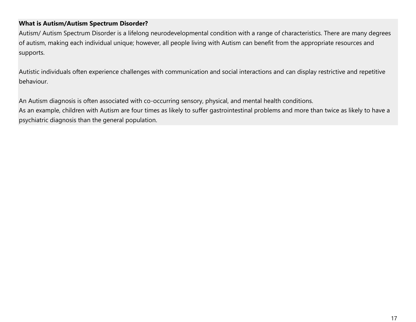#### **What is Autism/Autism Spectrum Disorder?**

Autism/ Autism Spectrum Disorder is a lifelong neurodevelopmental condition with a range of characteristics. There are many degrees of autism, making each individual unique; however, all people living with Autism can benefit from the appropriate resources and supports.

Autistic individuals often experience challenges with communication and social interactions and can display restrictive and repetitive behaviour.

An Autism diagnosis is often associated with co-occurring sensory, physical, and mental health conditions.

As an example, children with Autism are four times as likely to suffer gastrointestinal problems and more than twice as likely to have a psychiatric diagnosis than the general population.